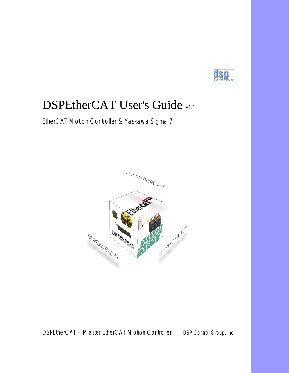

### DSPEtherCAT User's Guide v1.1

EtherCAT Motion Controller & Yaskawa Sigma 7

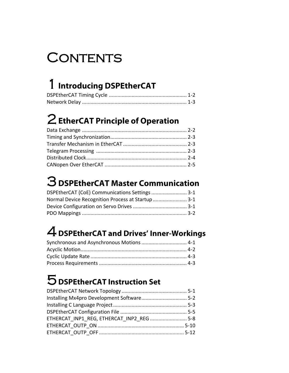## CONTENTS

### 1**[Introducing DSPEtherCAT](#page-3-0)**

### 2**[EtherCAT Principle of Operation](#page-6-0)**

## 3**[DSPEtherCAT Master Communication](#page-11-0)**

| DSPEtherCAT (CoE) Communications Settings  3-1    |  |
|---------------------------------------------------|--|
| Normal Device Recognition Process at Startup  3-1 |  |
|                                                   |  |
|                                                   |  |

## 4**[DSPEtherCAT and Drives' Inner-Workings](#page-14-0)**

### 5**[DSPEtherCAT Instruction Set](#page-18-0)**

| ETHERCAT INP1 REG, ETHERCAT INP2 REG 5-8 |  |
|------------------------------------------|--|
|                                          |  |
|                                          |  |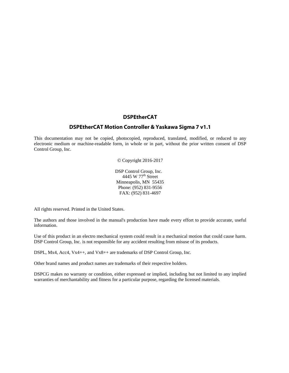### **DSPEtherCAT**

### **DSPEtherCAT Motion Controller & Yaskawa Sigma 7 v1.1**

This documentation may not be copied, photocopied, reproduced, translated, modified, or reduced to any electronic medium or machine-readable form, in whole or in part, without the prior written consent of DSP Control Group, Inc.

© Copyright 2016-2017

 DSP Control Group, Inc. 4445 W 77<sup>th</sup> Street Minneapolis, MN 55435 Phone: (952) 831-9556 FAX: (952) 831-4697

All rights reserved. Printed in the United States.

The authors and those involved in the manual's production have made every effort to provide accurate, useful information.

Use of this product in an electro mechanical system could result in a mechanical motion that could cause harm. DSP Control Group, Inc. is not responsible for any accident resulting from misuse of its products.

DSPL, Mx4, Acc4, Vx4++, and Vx8++ are trademarks of DSP Control Group, Inc.

Other brand names and product names are trademarks of their respective holders.

DSPCG makes no warranty or condition, either expressed or implied, including but not limited to any implied warranties of merchantability and fitness for a particular purpose, regarding the licensed materials.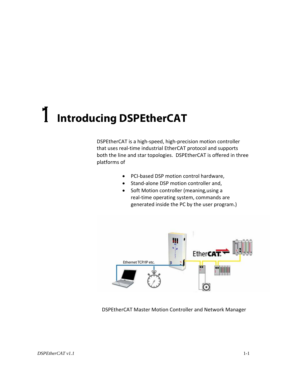# <span id="page-3-0"></span>1 **Introducing DSPEtherCAT**

DSPEtherCAT is a high‐speed, high‐precision motion controller that uses real‐time industrial EtherCAT protocol and supports both the line and star topologies. DSPEtherCAT is offered in three platforms of

- PCI‐based DSP motion control hardware,
- Stand‐alone DSP motion controller and,
- Soft Motion controller (meaning,using a real-time operating system, commands are generated inside the PC by the user program.)



DSPEtherCAT Master Motion Controller and Network Manager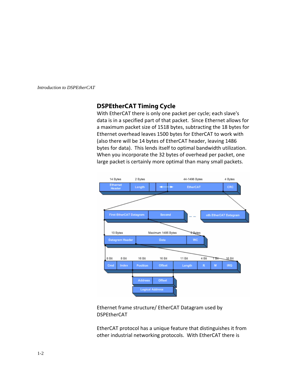<span id="page-4-0"></span>*Introduction to DSPEtherCAT* 

### **DSPEtherCAT Timing Cycle**

With EtherCAT there is only one packet per cycle; each slave's data is in a specified part of that packet. Since Ethernet allows for a maximum packet size of 1518 bytes, subtracting the 18 bytes for Ethernet overhead leaves 1500 bytes for EtherCAT to work with (also there will be 14 bytes of EtherCAT header, leaving 1486 bytes for data). This lends itself to optimal bandwidth utilization. When you incorporate the 32 bytes of overhead per packet, one large packet is certainly more optimal than many small packets.



### Ethernet frame structure/ EtherCAT Datagram used by DSPEtherCAT

EtherCAT protocol has a unique feature that distinguishes it from other industrial networking protocols. With EtherCAT there is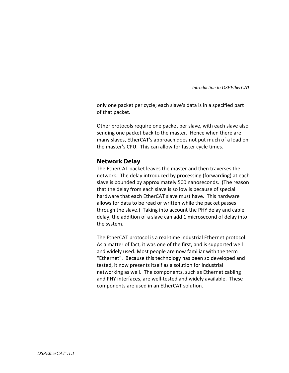*Introduction to DSPEtherCAT* 

<span id="page-5-0"></span>only one packet per cycle; each slave's data is in a specified part of that packet.

Other protocols require one packet per slave, with each slave also sending one packet back to the master. Hence when there are many slaves, EtherCAT's approach does not put much of a load on the master's CPU. This can allow for faster cycle times.

### **Network Delay**

The EtherCAT packet leaves the master and then traverses the network. The delay introduced by processing (forwarding) at each slave is bounded by approximately 500 nanoseconds. (The reason that the delay from each slave is so low is because of special hardware that each EtherCAT slave must have. This hardware allows for data to be read or written while the packet passes through the slave.) Taking into account the PHY delay and cable delay, the addition of a slave can add 1 microsecond of delay into the system.

The EtherCAT protocol is a real-time industrial Ethernet protocol. As a matter of fact, it was one of the first, and is supported well and widely used. Most people are now familiar with the term "Ethernet". Because this technology has been so developed and tested, it now presents itself as a solution for industrial networking as well. The components, such as Ethernet cabling and PHY interfaces, are well‐tested and widely available. These components are used in an EtherCAT solution.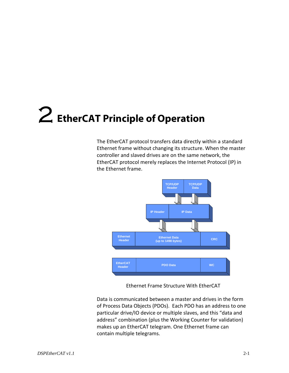<span id="page-6-0"></span>The EtherCAT protocol transfers data directly within a standard Ethernet frame without changing its structure. When the master controller and slaved drives are on the same network, the EtherCAT protocol merely replaces the Internet Protocol (IP) in the Ethernet frame.



Ethernet Frame Structure With EtherCAT

Data is communicated between a master and drives in the form of Process Data Objects (PDOs). Each PDO has an address to one particular drive/IO device or multiple slaves, and this "data and address" combination (plus the Working Counter for validation) makes up an EtherCAT telegram. One Ethernet frame can contain multiple telegrams.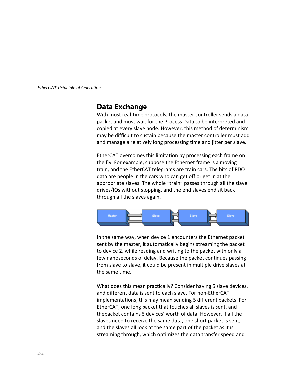### <span id="page-7-0"></span>**Data Exchange**

With most real-time protocols, the master controller sends a data packet and must wait for the Process Data to be interpreted and copied at every slave node. However, this method of determinism may be difficult to sustain because the master controller must add and manage a relatively long processing time and jitter per slave.

EtherCAT overcomes this limitation by processing each frame on the fly. For example, suppose the Ethernet frame is a moving train, and the EtherCAT telegrams are train cars. The bits of PDO data are people in the cars who can get off or get in at the appropriate slaves. The whole "train" passes through all the slave drives/IOs without stopping, and the end slaves end sit back through all the slaves again.



In the same way, when device 1 encounters the Ethernet packet sent by the master, it automatically begins streaming the packet to device 2, while reading and writing to the packet with only a few nanoseconds of delay. Because the packet continues passing from slave to slave, it could be present in multiple drive slaves at the same time.

What does this mean practically? Consider having 5 slave devices, and different data is sent to each slave. For non‐EtherCAT implementations, this may mean sending 5 different packets. For EtherCAT, one long packet that touches all slaves is sent, and thepacket contains 5 devices' worth of data. However, if all the slaves need to receive the same data, one short packet is sent, and the slaves all look at the same part of the packet as it is streaming through, which optimizes the data transfer speed and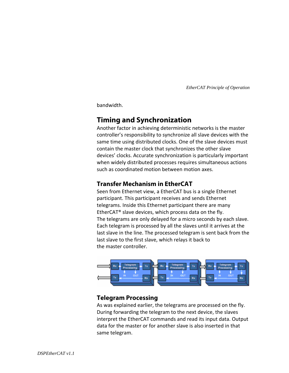<span id="page-8-0"></span>bandwidth.

### **Timing and Synchronization**

Another factor in achieving deterministic networks is the master controller's responsibility to synchronize all slave devices with the same time using distributed clocks. One of the slave devices must contain the master clock that synchronizes the other slave devices' clocks. Accurate synchronization is particularly important when widely distributed processes requires simultaneous actions such as coordinated motion between motion axes.

### **Transfer Mechanism in EtherCAT**

Seen from Ethernet view, a EtherCAT bus is a single Ethernet participant. This participant receives and sends Ethernet telegrams. Inside this Ethernet participant there are many EtherCAT® slave devices, which process data on the fly. The telegrams are only delayed for a micro seconds by each slave. Each telegram is processed by all the slaves until it arrives at the last slave in the line. The processed telegram is sent back from the last slave to the first slave, which relays it back to the master controller.



### **Telegram Processing**

As was explained earlier, the telegrams are processed on the fly. During forwarding the telegram to the next device, the slaves interpret the EtherCAT commands and read its input data. Output data for the master or for another slave is also inserted in that same telegram.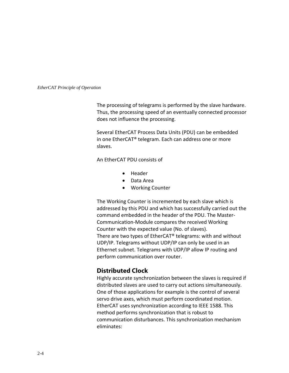<span id="page-9-0"></span>The processing of telegrams is performed by the slave hardware. Thus, the processing speed of an eventually connected processor does not influence the processing.

Several EtherCAT Process Data Units (PDU) can be embedded in one EtherCAT® telegram. Each can address one or more slaves.

An EtherCAT PDU consists of

- Header
- Data Area
- Working Counter

The Working Counter is incremented by each slave which is addressed by this PDU and which has successfully carried out the command embedded in the header of the PDU. The Master‐ Communication‐Module compares the received Working Counter with the expected value (No. of slaves). There are two types of EtherCAT® telegrams: with and without UDP/IP. Telegrams without UDP/IP can only be used in an Ethernet subnet. Telegrams with UDP/IP allow IP routing and perform communication over router.

### **Distributed Clock**

Highly accurate synchronization between the slaves is required if distributed slaves are used to carry out actions simultaneously. One of those applications for example is the control of several servo drive axes, which must perform coordinated motion. EtherCAT uses synchronization according to IEEE 1588. This method performs synchronization that is robust to communication disturbances. This synchronization mechanism eliminates: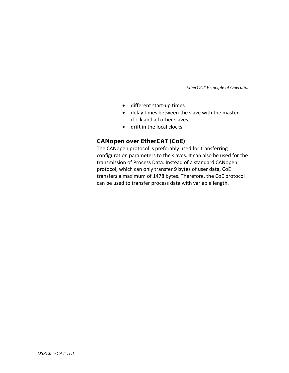- <span id="page-10-0"></span>• different start‐up times
- delay times between the slave with the master clock and all other slaves
- drift in the local clocks.

### **CANopen over EtherCAT (CoE)**

The CANopen protocol is preferably used for transferring configuration parameters to the slaves. It can also be used for the transmission of Process Data. Instead of a standard CANopen protocol, which can only transfer 9 bytes of user data, CoE transfers a maximum of 1478 bytes. Therefore, the CoE protocol can be used to transfer process data with variable length.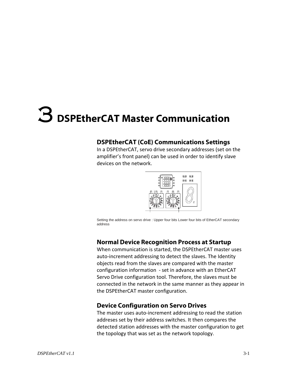## <span id="page-11-0"></span>3 **DSPEtherCAT Master Communication**

### **DSPEtherCAT (CoE) Communications Settings**

In a DSPEtherCAT, servo drive secondary addresses (set on the amplifier's front panel) can be used in order to identify slave devices on the network.



Setting the address on servo drive : Upper four bits Lower four bits of EtherCAT secondary address

### **Normal Device Recognition Process at Startup**

When communication is started, the DSPEtherCAT master uses auto‐increment addressing to detect the slaves. The Identity objects read from the slaves are compared with the master configuration information ‐ set in advance with an EtherCAT Servo Drive configuration tool. Therefore, the slaves must be connected in the network in the same manner as they appear in the DSPEtherCAT master configuration.

### **Device Configuration on Servo Drives**

The master uses auto‐increment addressing to read the station addreses set by their address switches. It then compares the detected station addresses with the master configuration to get the topology that was set as the network topology.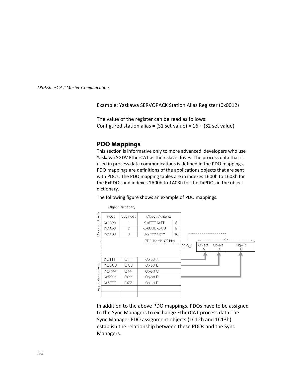<span id="page-12-0"></span>*DSPEtherCAT Master Commuication* 

Example: Yaskawa SERVOPACK Station Alias Register (0x0012)

The value of the register can be read as follows: Configured station alias =  $(S1 \text{ set value}) \times 16 + (S2 \text{ set value})$ 

### **PDO Mappings**

This section is informative only to more advanced developers who use Yaskawa SGDV EtherCAT as their slave drives. The process data that is used in process data communications is defined in the PDO mappings. PDO mappings are definitions of the applications objects that are sent with PDOs. The PDO mapping tables are in indexes 1600h to 1603h for the RxPDOs and indexes 1A00h to 1A03h for the TxPDOs in the object dictionary.

The following figure shows an example of PDO mappings.



In addition to the above PDO mappings, PDOs have to be assigned to the Sync Managers to exchange EtherCAT process data.The Sync Manager PDO assignment objects (1C12h and 1C13h) establish the relationship between these PDOs and the Sync Managers.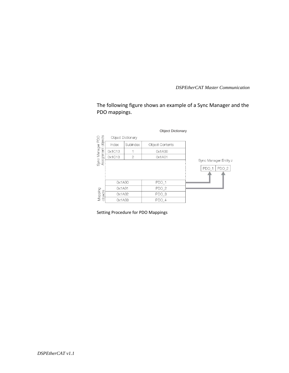*DSPEtherCAT Master Communication* 

The following figure shows an example of a Sync Manager and the PDO mappings.

| Sync Manager PDO<br>Assignment objects<br>Object Dictionary<br>Subindex<br>Index<br>Object Contents<br>0x1C13<br>0x1A00<br>0x1C13<br>$\overline{c}$<br>0x1A01<br>Sync Manager Entity z<br>PDO 1<br>PDO <sub>1</sub><br>0x1A00<br>PDO <sub>2</sub><br>0x1A01<br>Mapping<br>objects<br>PDO <sub>3</sub><br>0x1A02<br>PDO 4<br>0x1A03 |  |  | <b>Object Dictionary</b> |                  |
|------------------------------------------------------------------------------------------------------------------------------------------------------------------------------------------------------------------------------------------------------------------------------------------------------------------------------------|--|--|--------------------------|------------------|
|                                                                                                                                                                                                                                                                                                                                    |  |  |                          |                  |
|                                                                                                                                                                                                                                                                                                                                    |  |  |                          |                  |
|                                                                                                                                                                                                                                                                                                                                    |  |  |                          |                  |
|                                                                                                                                                                                                                                                                                                                                    |  |  |                          |                  |
|                                                                                                                                                                                                                                                                                                                                    |  |  |                          |                  |
|                                                                                                                                                                                                                                                                                                                                    |  |  |                          | PDO <sub>2</sub> |
|                                                                                                                                                                                                                                                                                                                                    |  |  |                          |                  |
|                                                                                                                                                                                                                                                                                                                                    |  |  |                          |                  |
|                                                                                                                                                                                                                                                                                                                                    |  |  |                          |                  |
|                                                                                                                                                                                                                                                                                                                                    |  |  |                          |                  |
|                                                                                                                                                                                                                                                                                                                                    |  |  |                          |                  |

Setting Procedure for PDO Mappings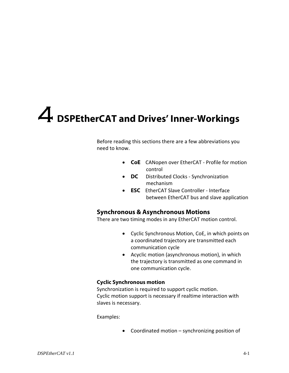## <span id="page-14-0"></span>4 **DSPEtherCAT and Drives' Inner-Workings**

Before reading this sections there are a few abbreviations you need to know.

- **CoE** CANopen over EtherCAT ‐ Profile for motion control
- **DC** Distributed Clocks ‐ Synchronization mechanism
- **ESC** EtherCAT Slave Controller ‐ Interface between EtherCAT bus and slave application

### **Synchronous & Asynchronous Motions**

There are two timing modes in any EtherCAT motion control.

- Cyclic Synchronous Motion, CoE, in which points on a coordinated trajectory are transmitted each communication cycle
- Acyclic motion (asynchronous motion), in which the trajectory is transmitted as one command in one communication cycle.

### **Cyclic Synchronous motion**

Synchronization is required to support cyclic motion. Cyclic motion support is necessary if realtime interaction with slaves is necessary.

Examples:

• Coordinated motion – synchronizing position of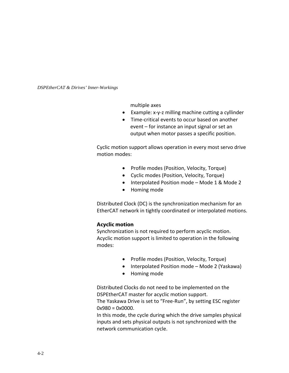<span id="page-15-0"></span>*DSPEtherCAT & Dirives' Inner-Workings* 

multiple axes

- Example: x‐y‐z milling machine cutting a cyllinder
- Time‐critical events to occur based on another event – for instance an input signal or set an output when motor passes a specific position.

Cyclic motion support allows operation in every most servo drive motion modes:

- Profile modes (Position, Velocity, Torque)
- Cyclic modes (Position, Velocity, Torque)
- Interpolated Position mode Mode 1 & Mode 2
- Homing mode

Distributed Clock (DC) is the synchronization mechanism for an EtherCAT network in tightly coordinated or interpolated motions.

### **Acyclic motion**

Synchronization is not required to perform acyclic motion. Acyclic motion support is limited to operation in the following modes:

- Profile modes (Position, Velocity, Torque)
- Interpolated Position mode Mode 2 (Yaskawa)
- Homing mode

Distributed Clocks do not need to be implemented on the DSPEtherCAT master for acyclic motion support. The Yaskawa Drive is set to "Free‐Run", by setting ESC register  $0x980 = 0x0000$ .

In this mode, the cycle during which the drive samples physical inputs and sets physical outputs is not synchronized with the network communication cycle.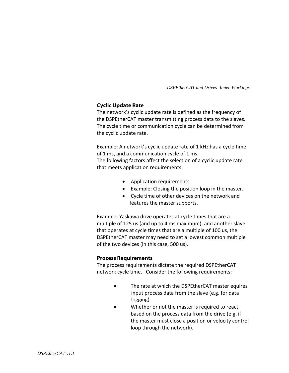*DSPEtherCAT and Drives' Inner-Workings* 

### <span id="page-16-0"></span>**Cyclic Update Rate**

The network's cyclic update rate is defined as the frequency of the DSPEtherCAT master transmitting process data to the slaves. The cycle time or communication cycle can be determined from the cyclic update rate.

Example: A network's cyclic update rate of 1 kHz has a cycle time of 1 ms, and a communication cycle of 1 ms.

The following factors affect the selection of a cyclic update rate that meets application requirements:

- Application requirements
- Example: Closing the position loop in the master.
- Cycle time of other devices on the network and features the master supports.

Example: Yaskawa drive operates at cycle times that are a multiple of 125 us (and up to 4 ms maximum), and another slave that operates at cycle times that are a multiple of 100 us, the DSPEtherCAT master may need to set a lowest common multiple of the two devices (in this case, 500 us).

### **Process Requirements**

The process requirements dictate the required DSPEtherCAT network cycle time. Consider the following requirements:

- The rate at which the DSPEtherCAT master equires input process data from the slave (e.g. for data logging).
- Whether or not the master is required to react based on the process data from the drive (e.g. if the master must close a position or velocity control loop through the network).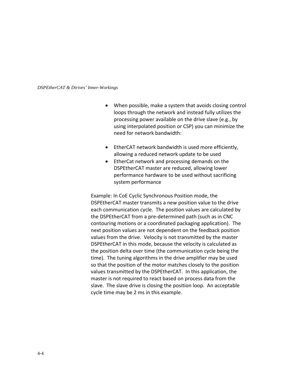#### *DSPEtherCAT & Dirives' Inner-Workings*

- When possible, make a system that avoids closing control loops through the network and instead fully utilizes the processing power available on the drive slave (e.g., by using interpolated position or CSP) you can minimize the need for network bandwidth:
- EtherCAT network bandwidth is used more efficiently, allowing a reduced network update to be used
- EtherCat network and processing demands on the DSPEtherCAT master are reduced, allowing lower performance hardware to be used without sacrificing system performance

Example: In CoE Cyclic Synchronous Position mode, the DSPEtherCAT master transmits a new position value to the drive each communication cycle. The position values are calculated by the DSPEtherCAT from a pre‐determined path (such as in CNC contouring motions or a coordinated packaging application). The next position values are not dependent on the feedback position values from the drive. Velocity is not transmitted by the master DSPEtherCAT in this mode, because the velocity is calculated as the position delta over time (the communication cycle being the time). The tuning algorithms in the drive amplifier may be used so that the position of the motor matches closely to the position values transmitted by the DSPEtherCAT. In this application, the master is not required to react based on process data from the slave. The slave drive is closing the position loop. An acceptable cycle time may be 2 ms in this example.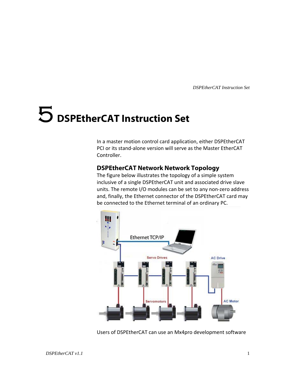## <span id="page-18-0"></span>5 **DSPEtherCAT Instruction Set**

In a master motion control card application, either DSPEtherCAT PCI or its stand‐alone version will serve as the Master EtherCAT Controller.

### **DSPEtherCAT Network Network Topology**

The figure below illustrates the topology of a simple system inclusive of a single DSPEtherCAT unit and associated drive slave units. The remote I/O modules can be set to any non‐zero address and, finally, the Ethernet connector of the DSPEtherCAT card may be connected to the Ethernet terminal of an ordinary PC.



Users of DSPEtherCAT can use an Mx4pro development software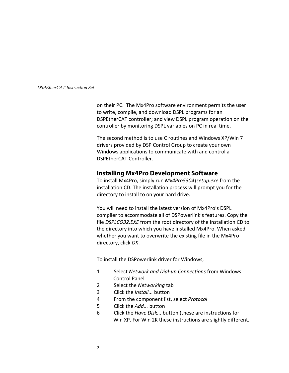<span id="page-19-0"></span>on their PC. The Mx4Pro software environment permits the user to write, compile, and download DSPL programs for an DSPEtherCAT controller; and view DSPL program operation on the controller by monitoring DSPL variables on PC in real time.

The second method is to use C routines and Windows XP/Win 7 drivers provided by DSP Control Group to create your own Windows applications to communicate with and control a DSPEtherCAT Controller.

### **Installing Mx4Pro Development Software**

To install Mx4Pro, simply run *Mx4Pro5304\setup.exe* from the installation CD. The installation process will prompt you for the directory to install to on your hard drive.

You will need to install the latest version of Mx4Pro's DSPL compiler to accommodate all of DSPowerlink's features. Copy the file *DSPLCO32.EXE* from the root directory of the installation CD to the directory into which you have installed Mx4Pro. When asked whether you want to overwrite the existing file in the Mx4Pro directory, click *OK*.

To install the DSPowerlink driver for Windows,

- 1 Select *Network and Dial‐up Connections* from Windows Control Panel
- 2 Select the *Networking* tab
- 3 Click the *Install...* button
- 4 From the component list, select *Protocol*
- 5 Click the *Add...* button
- 6 Click the *Have Disk...* button (these are instructions for Win XP. For Win 2K these instructions are slightly different.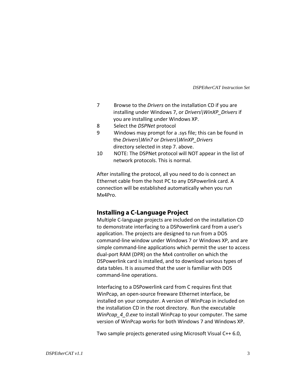- 7 Browse to the *Drivers* on the installation CD if you are installing under Windows 7, or *Drivers\WinXP\_Drivers* if you are installing under Windows XP.
- 8 Select the *DSPNet* protocol
- 9 Windows may prompt for a .sys file; this can be found in the *Drivers\Win7* or *Drivers\WinXP\_Drivers* directory selected in step 7. above.
- 10 NOTE: The DSPNet protocol will NOT appear in the list of network protocols. This is normal.

After installing the protocol, all you need to do is connect an Ethernet cable from the host PC to any DSPowerlink card. A connection will be established automatically when you run Mx4Pro.

### **Installing a C-Language Project**

Multiple C‐language projects are included on the installation CD to demonstrate interfacing to a DSPowerlink card from a user's application. The projects are designed to run from a DOS command‐line window under Windows 7 or Windows XP, and are simple command-line applications which permit the user to access dual‐port RAM (DPR) on the Mx4 controller on which the DSPowerlink card is installed, and to download various types of data tables. It is assumed that the user is familiar with DOS command‐line operations.

Interfacing to a DSPowerlink card from C requires first that WinPcap, an open‐source freeware Ethernet interface, be installed on your computer. A version of WinPcap in included on the installation CD in the root directory. Run the executable *WinPcap\_4\_0.exe* to install WinPcap to your computer. The same version of WinPcap works for both Windows 7 and Windows XP.

Two sample projects generated using Microsoft Visual C++ 6.0,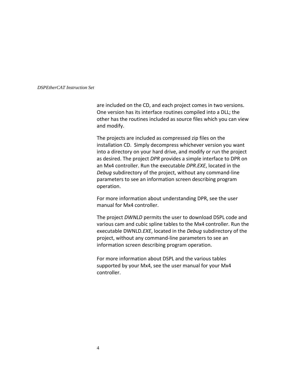are included on the CD, and each project comes in two versions. One version has its interface routines compiled into a DLL; the other has the routines included as source files which you can view and modify.

The projects are included as compressed zip files on the installation CD. Simply decompress whichever version you want into a directory on your hard drive, and modify or run the project as desired. The project *DPR* provides a simple interface to DPR on an Mx4 controller. Run the executable *DPR.EXE*, located in the *Debug* subdirectory of the project, without any command‐line parameters to see an information screen describing program operation.

For more information about understanding DPR, see the user manual for Mx4 controller.

The project *DWNLD* permits the user to download DSPL code and various cam and cubic spline tables to the Mx4 controller. Run the executable DWNLD*.EXE*, located in the *Debug* subdirectory of the project, without any command‐line parameters to see an information screen describing program operation.

For more information about DSPL and the various tables supported by your Mx4, see the user manual for your Mx4 controller.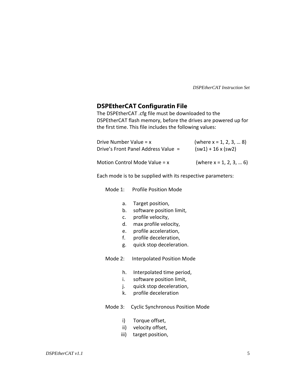### <span id="page-22-0"></span>**DSPEtherCAT Configuratin File**

The DSPEtherCAT .cfg file must be downloaded to the DSPEtherCAT flash memory, before the drives are powered up for the first time. This file includes the following values:

| Drive Number Value = $x$            | (where $x = 1, 2, 3,  8$ ) |
|-------------------------------------|----------------------------|
| Drive's Front Panel Address Value = | $(sw1) + 16x$ (sw2)        |
| Motion Control Mode Value = x       | (where $x = 1, 2, 3,  6$ ) |

Each mode is to be supplied with its respective parameters:

Mode 1: Profile Position Mode

- a. Target position,
- b. software position limit,
- c. profile velocity,
- d. max profile velocity,
- e. profile acceleration,
- f. profile deceleration,
- g. quick stop deceleration.

Mode 2: Interpolated Position Mode

- h. Interpolated time period,
- i. software position limit,
- j. quick stop deceleration,
- k. profile deceleration

Mode 3: Cyclic Synchronous Position Mode

- i) Torque offset,
- ii) velocity offset,
- iii) target position,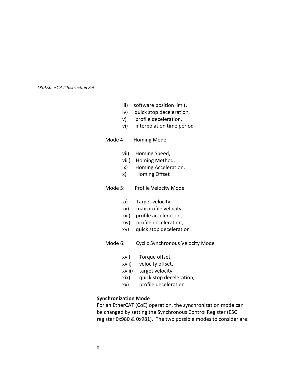- iii) software position limit,
- iv) quick stop deceleration,
- v) profile deceleration,
- vi) interpolation time period
- Mode 4: Homing Mode
	- vii) Homing Speed,
	- viii) Homing Method,
	- ix) Homing Acceleration,
	- x) Homing Offset

### Mode 5: Profile Velocity Mode

- xi) Target velocity,
- xii) max profile velocity,
- xiii) profile acceleration,
- xiv) profile deceleration,
- xv) quick stop deceleration
- Mode 6: Cyclic Synchronous Velocity Mode
	- xvi) Torque offset,
	- xvii) velocity offset,
	- xviii) target velocity,
	- xix) quick stop deceleration,
	- xx) profile deceleration

### **Synchronization Mode**

For an EtherCAT (CoE) operation, the synchronization mode can be changed by setting the Synchronous Control Register (ESC register 0x980 & 0x981). The two possible modes to consider are: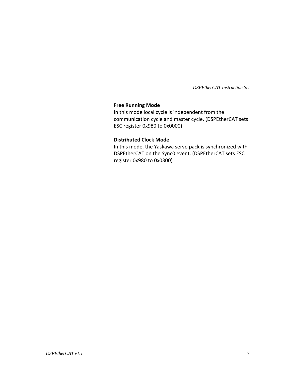### **Free Running Mode**

In this mode local cycle is independent from the communication cycle and master cycle. (DSPEtherCAT sets ESC register 0x980 to 0x0000)

### **Distributed Clock Mode**

In this mode, the Yaskawa servo pack is synchronized with DSPEtherCAT on the Sync0 event. (DSPEtherCAT sets ESC register 0x980 to 0x0300)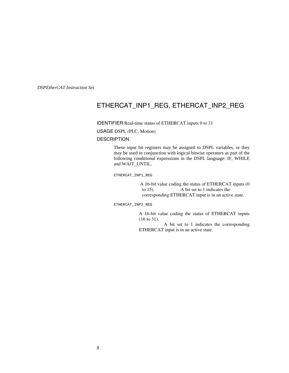### <span id="page-25-0"></span>ETHERCAT\_INP1\_REG, ETHERCAT\_INP2\_REG

IDENTIFIER Real-time status of ETHERCAT inputs 0 to 31

USAGE DSPL (PLC, Motion)

#### **DESCRIPTION**

These input bit registers may be assigned to DSPL variables, or they may be used in conjunction with logical bitwise operators as part of the following conditional expressions in the DSPL language: IF, WHILE and WAIT\_UNTIL.

ETHERCAT\_INP1\_REG

A 16-bit value coding the status of ETHERCAT inputs (0 to 15). A bit set to 1 indicates the corresponding ETHERCAT input is in an active state.

ETHERCAT\_INP2\_REG

A 16-bit value coding the status of ETHERCAT inputs (16 to 31).

 A bit set to 1 indicates the corresponding ETHERCAT input is in an active state.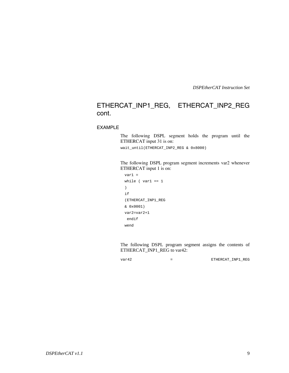### ETHERCAT\_INP1\_REG, ETHERCAT\_INP2\_REG cont.

### EXAMPLE

The following DSPL segment holds the program until the ETHERCAT input 31 is on:

wait\_until(ETHERCAT\_INP2\_REG & 0x8000)

 The following DSPL program segment increments var2 whenever ETHERCAT input 1 is on:

```
var1 = 
while (var1 == 1) 
if 
(ETHERCAT_INP1_REG 
& 0x0001) 
var2=var2+1 
  endif 
wend
```
 The following DSPL program segment assigns the contents of ETHERCAT\_INP1\_REG to var42:

var42 = ETHERCAT\_INP1\_REG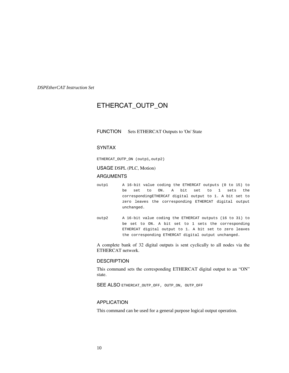### <span id="page-27-0"></span>ETHERCAT\_OUTP\_ON

### FUNCTION Sets ETHERCAT Outputs to 'On' State

### SYNTAX

ETHERCAT\_OUTP\_ON (outp1,outp2)

USAGE DSPL (PLC, Motion)

#### ARGUMENTS

- outp1 A 16-bit value coding the ETHERCAT outputs (0 to 15) to be set to ON. A bit set to 1 sets the correspondingETHERCAT digital output to 1. A bit set to zero leaves the corresponding ETHERCAT digital output unchanged.
- outp2 A 16-bit value coding the ETHERCAT outputs (16 to 31) to be set to ON. A bit set to 1 sets the corresponding ETHERCAT digital output to 1. A bit set to zero leaves the corresponding ETHERCAT digital output unchanged.

A complete bank of 32 digital outputs is sent cyclically to all nodes via the ETHERCAT network.

### **DESCRIPTION**

This command sets the corresponding ETHERCAT digital output to an "ON" state.

SEE ALSO ETHERCAT\_OUTP\_OFF, OUTP\_ON, OUTP\_OFF

### APPLICATION

This command can be used for a general purpose logical output operation.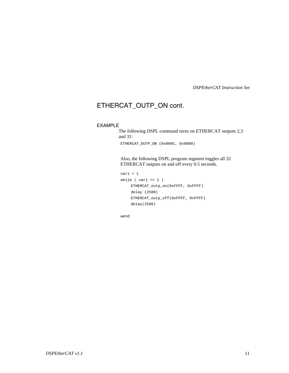### ETHERCAT\_OUTP\_ON cont.

### EXAMPLE

The following DSPL command turns on ETHERCAT outputs 2,3 and 31:

ETHERCAT\_OUTP\_ON (0x000C, 0x8000)

Also, the following DSPL program segment toggles all 32 ETHERCAT outputs on and off every 0.5 seconds.

```
var1 = 1while ( var1 == 1 )
    ETHERCAT_outp_on(0xFFFF, 0xFFFF) 
    delay (2500) 
    ETHERCAT_outp_off(0xFFFF, 0xFFFF) 
    delay(2500)
```
wend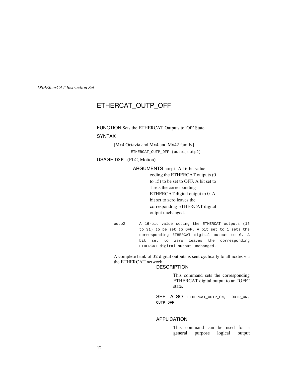### <span id="page-29-0"></span>ETHERCAT\_OUTP\_OFF

FUNCTION Sets the ETHERCAT Outputs to 'Off' State SYNTAX

[Mx4 Octavia and Mx4 and Mx42 family]

ETHERCAT\_OUTP\_OFF (outp1,outp2)

USAGE DSPL (PLC, Motion)

ARGUMENTS outp1 A 16-bit value coding the ETHERCAT outputs (0 to 15) to be set to OFF. A bit set to 1 sets the corresponding ETHERCAT digital output to 0. A bit set to zero leaves the corresponding ETHERCAT digital output unchanged.

outp2 A 16-bit value coding the ETHERCAT outputs (16 to 31) to be set to OFF. A bit set to 1 sets the corresponding ETHERCAT digital output to 0. A bit set to zero leaves the corresponding ETHERCAT digital output unchanged.

A complete bank of 32 digital outputs is sent cyclically to all nodes via the ETHERCAT network.

### **DESCRIPTION**

This command sets the corresponding ETHERCAT digital output to an "OFF" state.

SEE ALSO ETHERCAT\_OUTP\_ON, OUTP\_ON, OUTP\_OFF

### APPLICATION

This command can be used for a general purpose logical output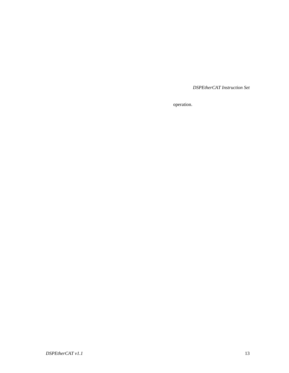operation.